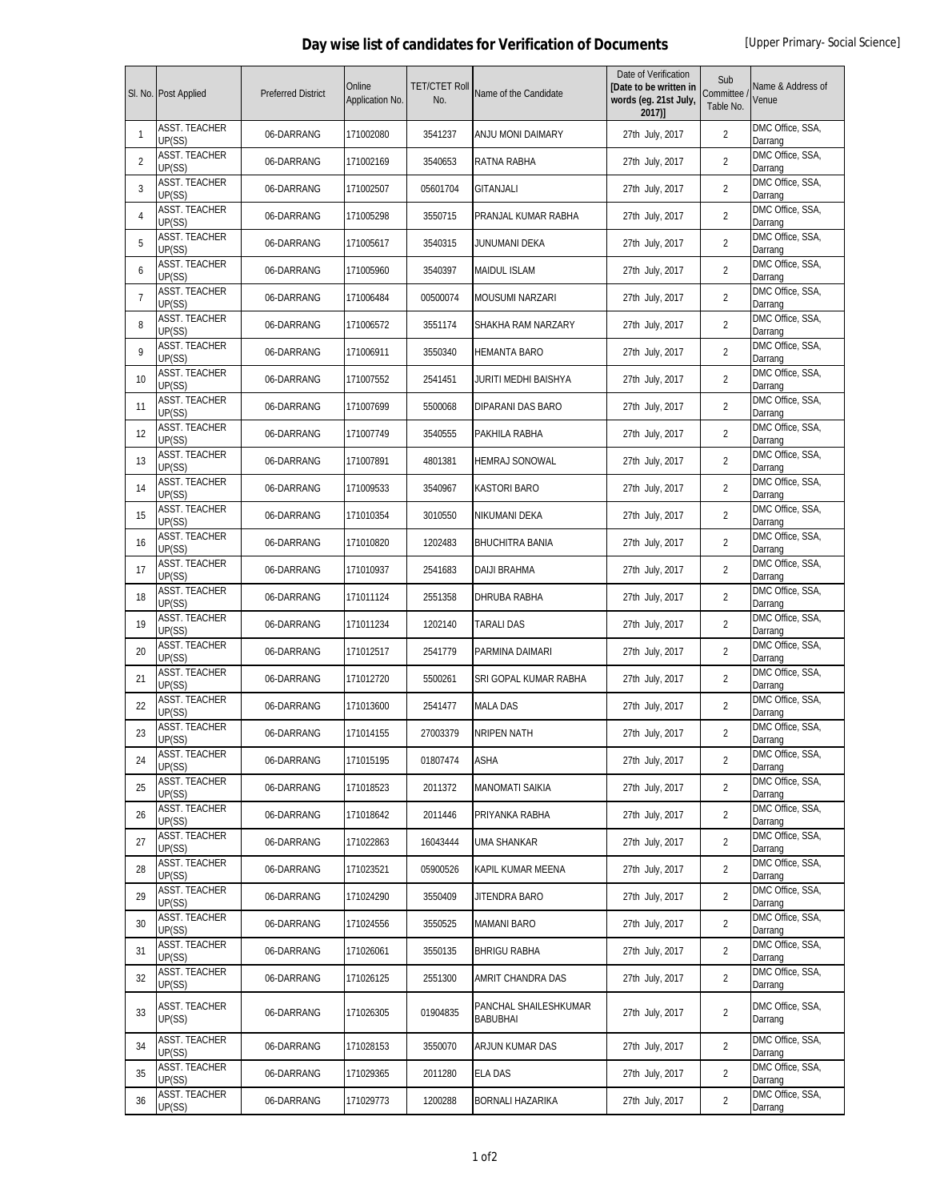## **Day wise list of candidates for Verification of Documents** [Upper Primary- Social Science]

|                | SI. No. Post Applied           | <b>Preferred District</b> | Online<br>Application No. | <b>TET/CTET Roll</b><br>No. | Name of the Candidate                    | Date of Verification<br>[Date to be written in<br>words (eg. 21st July,<br>2017)] | Sub<br>Committee<br>Table No. | Name & Address of<br>Venue  |
|----------------|--------------------------------|---------------------------|---------------------------|-----------------------------|------------------------------------------|-----------------------------------------------------------------------------------|-------------------------------|-----------------------------|
| 1              | <b>ASST. TEACHER</b><br>UP(SS) | 06-DARRANG                | 171002080                 | 3541237                     | ANJU MONI DAIMARY                        | 27th July, 2017                                                                   | $\overline{2}$                | DMC Office, SSA,<br>Darrang |
| $\overline{2}$ | ASST. TEACHER<br>UP(SS)        | 06-DARRANG                | 171002169                 | 3540653                     | RATNA RABHA                              | 27th July, 2017                                                                   | $\overline{2}$                | DMC Office, SSA,<br>Darrang |
| 3              | ASST. TEACHER<br>UP(SS)        | 06-DARRANG                | 171002507                 | 05601704                    | <b>GITANJALI</b>                         | 27th July, 2017                                                                   | $\overline{2}$                | DMC Office, SSA,<br>Darrang |
| 4              | ASST. TEACHER<br>UP(SS)        | 06-DARRANG                | 171005298                 | 3550715                     | PRANJAL KUMAR RABHA                      | 27th July, 2017                                                                   | $\overline{2}$                | DMC Office, SSA,<br>Darrang |
| 5              | ASST. TEACHER<br>UP(SS)        | 06-DARRANG                | 171005617                 | 3540315                     | JUNUMANI DEKA                            | 27th July, 2017                                                                   | $\overline{2}$                | DMC Office, SSA,<br>Darrang |
| 6              | <b>ASST. TEACHER</b><br>UP(SS) | 06-DARRANG                | 171005960                 | 3540397                     | MAIDUL ISLAM                             | 27th July, 2017                                                                   | $\overline{2}$                | DMC Office, SSA,<br>Darrang |
| 7              | <b>ASST. TEACHER</b><br>UP(SS) | 06-DARRANG                | 171006484                 | 00500074                    | <b>MOUSUMI NARZARI</b>                   | 27th July, 2017                                                                   | $\overline{2}$                | DMC Office, SSA,<br>Darrang |
| 8              | <b>ASST. TEACHER</b><br>UP(SS) | 06-DARRANG                | 171006572                 | 3551174                     | SHAKHA RAM NARZARY                       | 27th July, 2017                                                                   | $\overline{2}$                | DMC Office, SSA,<br>Darrang |
| 9              | ASST. TEACHER<br>UP(SS)        | 06-DARRANG                | 171006911                 | 3550340                     | HEMANTA BARO                             | 27th July, 2017                                                                   | $\overline{2}$                | DMC Office, SSA,<br>Darrang |
| 10             | <b>ASST. TEACHER</b><br>UP(SS) | 06-DARRANG                | 171007552                 | 2541451                     | JURITI MEDHI BAISHYA                     | 27th July, 2017                                                                   | $\overline{2}$                | DMC Office, SSA,<br>Darrang |
| 11             | <b>ASST. TEACHER</b><br>UP(SS) | 06-DARRANG                | 171007699                 | 5500068                     | DIPARANI DAS BARO                        | 27th July, 2017                                                                   | $\overline{2}$                | DMC Office, SSA,<br>Darrang |
| 12             | <b>ASST. TEACHER</b><br>UP(SS) | 06-DARRANG                | 171007749                 | 3540555                     | PAKHILA RABHA                            | 27th July, 2017                                                                   | $\overline{2}$                | DMC Office, SSA,<br>Darrang |
| 13             | <b>ASST. TEACHER</b><br>UP(SS) | 06-DARRANG                | 171007891                 | 4801381                     | HEMRAJ SONOWAL                           | 27th July, 2017                                                                   | $\overline{2}$                | DMC Office, SSA,<br>Darrang |
| 14             | <b>ASST. TEACHER</b><br>UP(SS) | 06-DARRANG                | 171009533                 | 3540967                     | KASTORI BARO                             | 27th July, 2017                                                                   | $\overline{2}$                | DMC Office, SSA,<br>Darrang |
| 15             | <b>ASST. TEACHER</b><br>UP(SS) | 06-DARRANG                | 171010354                 | 3010550                     | NIKUMANI DEKA                            | 27th July, 2017                                                                   | $\overline{2}$                | DMC Office, SSA,<br>Darrang |
| 16             | ASST. TEACHER<br>UP(SS)        | 06-DARRANG                | 171010820                 | 1202483                     | <b>BHUCHITRA BANIA</b>                   | 27th July, 2017                                                                   | $\overline{2}$                | DMC Office, SSA,<br>Darrang |
| 17             | ASST. TEACHER<br>UP(SS)        | 06-DARRANG                | 171010937                 | 2541683                     | DAIJI BRAHMA                             | 27th July, 2017                                                                   | $\overline{2}$                | DMC Office, SSA,<br>Darrang |
| 18             | ASST. TEACHER<br>UP(SS)        | 06-DARRANG                | 171011124                 | 2551358                     | DHRUBA RABHA                             | 27th July, 2017                                                                   | $\overline{2}$                | DMC Office, SSA,<br>Darrang |
| 19             | ASST. TEACHER<br>UP(SS)        | 06-DARRANG                | 171011234                 | 1202140                     | TARALI DAS                               | 27th July, 2017                                                                   | $\overline{2}$                | DMC Office, SSA,<br>Darrang |
| 20             | ASST. TEACHER<br>UP(SS)        | 06-DARRANG                | 171012517                 | 2541779                     | PARMINA DAIMARI                          | 27th July, 2017                                                                   | $\overline{2}$                | DMC Office, SSA,<br>Darrang |
| 21             | ASST. TEACHER<br>UP(SS)        | 06-DARRANG                | 171012720                 | 5500261                     | SRI GOPAL KUMAR RABHA                    | 27th July, 2017                                                                   | $\overline{2}$                | DMC Office, SSA,<br>Darrang |
| 22             | ASST. TEACHER<br>UP(SS)        | 06-DARRANG                | 171013600                 | 2541477                     | <b>MALA DAS</b>                          | 27th July, 2017                                                                   | $\overline{2}$                | DMC Office, SSA,<br>Darrang |
| 23             | <b>ASST. TEACHER</b><br>UP(SS) | 06-DARRANG                | 171014155                 | 27003379                    | NRIPEN NATH                              | 27th July, 2017                                                                   | $\overline{2}$                | DMC Office, SSA,<br>Darrang |
| 24             | <b>ASST. TEACHER</b><br>UP(SS) | 06-DARRANG                | 171015195                 | 01807474                    | ASHA                                     | 27th July, 2017                                                                   | $\overline{2}$                | DMC Office, SSA,<br>Darrang |
| 25             | <b>ASST. TEACHER</b><br>UP(SS) | 06-DARRANG                | 171018523                 | 2011372                     | MANOMATI SAIKIA                          | 27th July, 2017                                                                   | $\overline{2}$                | DMC Office, SSA,<br>Darrang |
| 26             | <b>ASST. TEACHER</b><br>UP(SS) | 06-DARRANG                | 171018642                 | 2011446                     | PRIYANKA RABHA                           | 27th July, 2017                                                                   | $\overline{2}$                | DMC Office, SSA,<br>Darrang |
| 27             | <b>ASST. TEACHER</b><br>UP(SS) | 06-DARRANG                | 171022863                 | 16043444                    | UMA SHANKAR                              | 27th July, 2017                                                                   | 2                             | DMC Office, SSA,<br>Darrang |
| 28             | <b>ASST. TEACHER</b><br>UP(SS) | 06-DARRANG                | 171023521                 | 05900526                    | KAPIL KUMAR MEENA                        | 27th July, 2017                                                                   | 2                             | DMC Office, SSA,<br>Darrang |
| 29             | <b>ASST. TEACHER</b><br>UP(SS) | 06-DARRANG                | 171024290                 | 3550409                     | JITENDRA BARO                            | 27th July, 2017                                                                   | $\overline{2}$                | DMC Office, SSA,<br>Darrang |
| 30             | <b>ASST. TEACHER</b><br>UP(SS) | 06-DARRANG                | 171024556                 | 3550525                     | <b>MAMANI BARO</b>                       | 27th July, 2017                                                                   | $\overline{2}$                | DMC Office, SSA,<br>Darrang |
| 31             | ASST. TEACHER<br>UP(SS)        | 06-DARRANG                | 171026061                 | 3550135                     | <b>BHRIGU RABHA</b>                      | 27th July, 2017                                                                   | 2                             | DMC Office, SSA,<br>Darrang |
| 32             | <b>ASST. TEACHER</b><br>UP(SS) | 06-DARRANG                | 171026125                 | 2551300                     | AMRIT CHANDRA DAS                        | 27th July, 2017                                                                   | 2                             | DMC Office, SSA,<br>Darrang |
| 33             | ASST. TEACHER<br>UP(SS)        | 06-DARRANG                | 171026305                 | 01904835                    | PANCHAL SHAILESHKUMAR<br><b>BABUBHAI</b> | 27th July, 2017                                                                   | $\overline{2}$                | DMC Office, SSA,<br>Darrang |
| 34             | ASST. TEACHER<br>UP(SS)        | 06-DARRANG                | 171028153                 | 3550070                     | ARJUN KUMAR DAS                          | 27th July, 2017                                                                   | $\overline{2}$                | DMC Office, SSA,<br>Darrang |
| 35             | ASST. TEACHER<br>UP(SS)        | 06-DARRANG                | 171029365                 | 2011280                     | ELA DAS                                  | 27th July, 2017                                                                   | $\overline{2}$                | DMC Office, SSA,<br>Darrang |
| 36             | <b>ASST. TEACHER</b><br>UP(SS) | 06-DARRANG                | 171029773                 | 1200288                     | BORNALI HAZARIKA                         | 27th July, 2017                                                                   | $\overline{2}$                | DMC Office, SSA,<br>Darrang |